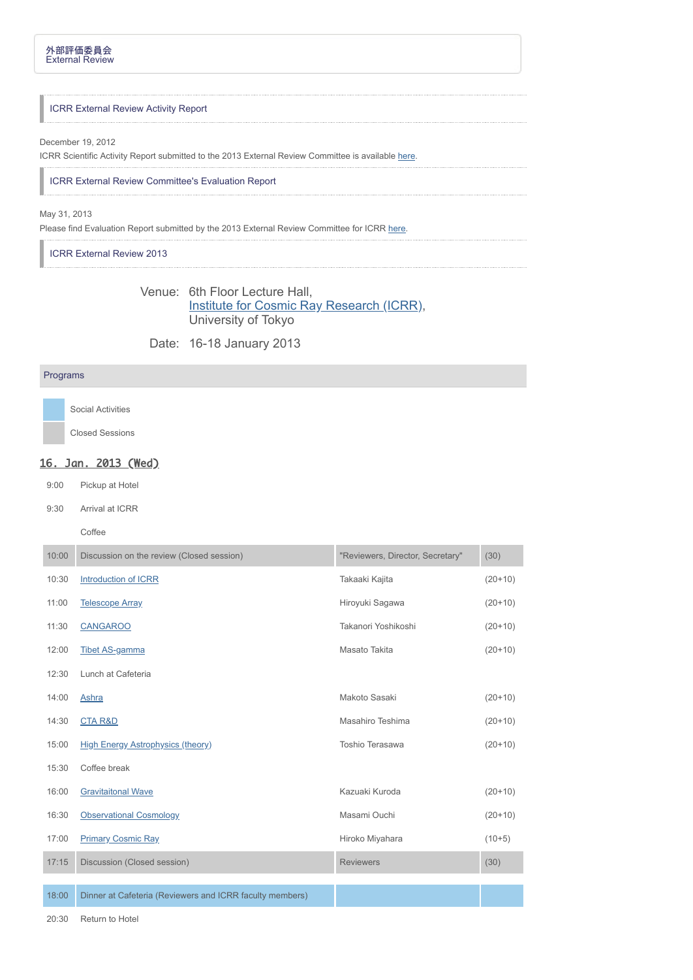### ICRR External Review Activity Report

#### December 19, 2012

ICRR Scientific Activity Report submitted to the 2013 External Review Committee is available [here.](http://www.icrr.u-tokyo.ac.jp/extreview/2013/icrrreview2012.pdf)

# ICRR External Review Committee's Evaluation Report

### May 31, 2013

Please find Evaluation Report submitted by the 2013 External Review Committee for ICRR [here.](http://www.icrr.u-tokyo.ac.jp/extreview/2013/icrrreview_evaluation2013.pdf)

ICRR External Review 2013

# Venue: 6th Floor Lecture Hall, [Institute for Cosmic Ray Research \(ICRR\),](http://www.u-tokyo.ac.jp/en/about/documents/Kashiwa_CampusMap_E.pdf) University of Tokyo

Date: 16-18 January 2013

## Programs

Social Activities

Closed Sessions

# 16. Jan. 2013 (Wed)

9:00 Pickup at Hotel

9:30 Arrival at ICRR

Coffee

| 10:00 | Discussion on the review (Closed session)                | "Reviewers, Director, Secretary" | (30)      |
|-------|----------------------------------------------------------|----------------------------------|-----------|
| 10:30 | Introduction of ICRR                                     | Takaaki Kajita                   | $(20+10)$ |
| 11:00 | <b>Telescope Array</b>                                   | Hiroyuki Sagawa                  | $(20+10)$ |
| 11:30 | <b>CANGAROO</b>                                          | Takanori Yoshikoshi              | $(20+10)$ |
| 12:00 | <b>Tibet AS-gamma</b>                                    | Masato Takita                    | $(20+10)$ |
| 12:30 | Lunch at Cafeteria                                       |                                  |           |
| 14:00 | Ashra                                                    | Makoto Sasaki                    | $(20+10)$ |
| 14:30 | <b>CTA R&amp;D</b>                                       | Masahiro Teshima                 | $(20+10)$ |
| 15:00 | <b>High Energy Astrophysics (theory)</b>                 | Toshio Terasawa                  | $(20+10)$ |
| 15:30 | Coffee break                                             |                                  |           |
| 16:00 | <b>Gravitaitonal Wave</b>                                | Kazuaki Kuroda                   | $(20+10)$ |
| 16:30 | <b>Observational Cosmology</b>                           | Masami Ouchi                     | $(20+10)$ |
| 17:00 | <b>Primary Cosmic Ray</b>                                | Hiroko Miyahara                  | $(10+5)$  |
| 17:15 | Discussion (Closed session)                              | <b>Reviewers</b>                 | (30)      |
| 18:00 | Dinner at Cafeteria (Reviewers and ICRR faculty members) |                                  |           |

20:30 Return to Hotel